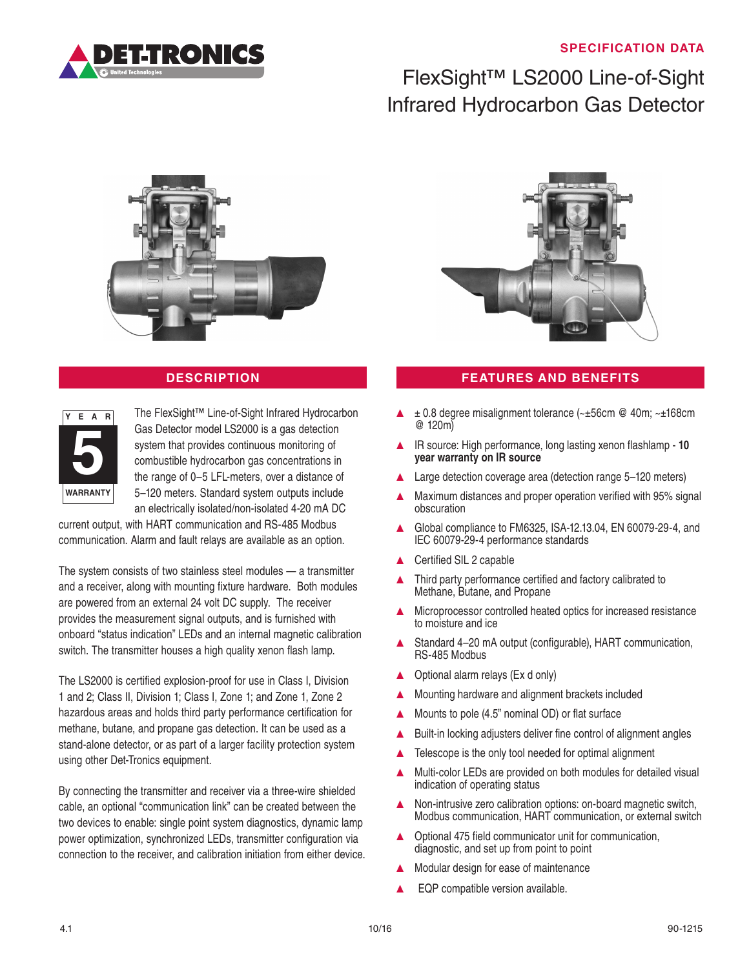## **SPECIFICATION DATA**



# FlexSight™ LS2000 Line-of-Sight Infrared Hydrocarbon Gas Detector





The FlexSight™ Line-of-Sight Infrared Hydrocarbon Gas Detector model LS2000 is a gas detection system that provides continuous monitoring of combustible hydrocarbon gas concentrations in the range of 0–5 LFL-meters, over a distance of 5–120 meters. Standard system outputs include an electrically isolated/non-isolated 4-20 mA DC

current output, with HART communication and RS-485 Modbus communication. Alarm and fault relays are available as an option.

The system consists of two stainless steel modules — a transmitter and a receiver, along with mounting fixture hardware. Both modules are powered from an external 24 volt DC supply. The receiver provides the measurement signal outputs, and is furnished with onboard "status indication" LEDs and an internal magnetic calibration switch. The transmitter houses a high quality xenon flash lamp.

The LS2000 is certified explosion-proof for use in Class I, Division 1 and 2; Class II, Division 1; Class I, Zone 1; and Zone 1, Zone 2 hazardous areas and holds third party performance certification for methane, butane, and propane gas detection. It can be used as a stand-alone detector, or as part of a larger facility protection system using other Det-Tronics equipment.

By connecting the transmitter and receiver via a three-wire shielded cable, an optional "communication link" can be created between the two devices to enable: single point system diagnostics, dynamic lamp power optimization, synchronized LEDs, transmitter configuration via connection to the receiver, and calibration initiation from either device.



## **DESCRIPTION FEATURES AND BENEFITS**

- $\pm$  0.8 degree misalignment tolerance ( $\sim\pm56$ cm @ 40m;  $\sim\pm168$ cm @ 120m)
- IR source: High performance, long lasting xenon flashlamp 10 **year warranty on IR source**
- Large detection coverage area (detection range 5-120 meters)
- Maximum distances and proper operation verified with 95% signal obscuration
- Global compliance to FM6325, ISA-12.13.04, EN 60079-29-4, and IEC 60079-29-4 performance standards
- Certified SIL 2 capable
- Third party performance certified and factory calibrated to Methane, Butane, and Propane
- ▲ Microprocessor controlled heated optics for increased resistance to moisture and ice
- Standard 4–20 mA output (configurable), HART communication, RS-485 Modbus
- ▲ Optional alarm relays (Ex d only)
- ▲ Mounting hardware and alignment brackets included
- Mounts to pole (4.5" nominal OD) or flat surface
- Built-in locking adjusters deliver fine control of alignment angles
- Telescope is the only tool needed for optimal alignment
- ▲ Multi-color LEDs are provided on both modules for detailed visual indication of operating status
- ▲ Non-intrusive zero calibration options: on-board magnetic switch, Modbus communication, HART communication, or external switch
- Optional 475 field communicator unit for communication. diagnostic, and set up from point to point
- Modular design for ease of maintenance
- EQP compatible version available.